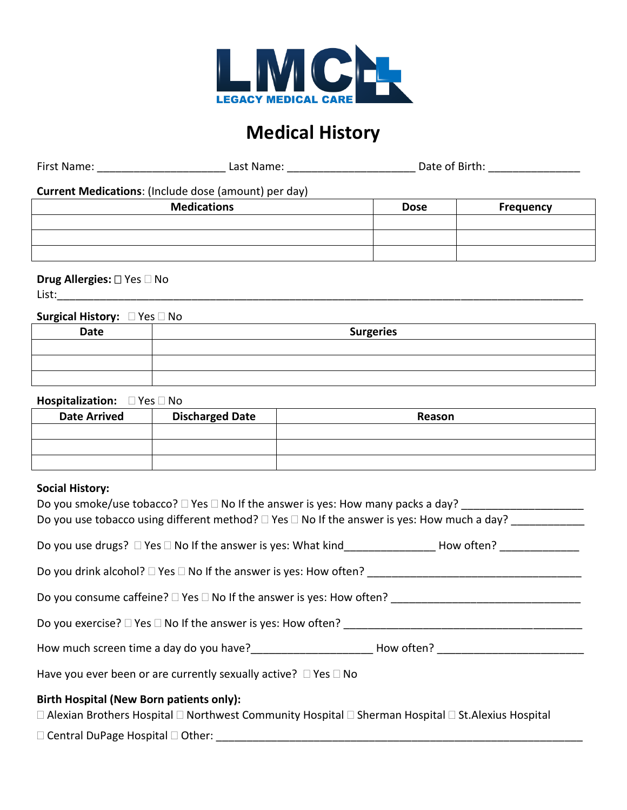

## **Medical History**

| First Name: | Last Name: | Date of Birth: |
|-------------|------------|----------------|
|             |            |                |

**Current Medications**: (Include dose (amount) per day)

| <b>Medications</b> | <b>Dose</b> | Frequency |
|--------------------|-------------|-----------|
|                    |             |           |
|                    |             |           |
|                    |             |           |

## **Drug Allergies:**  $\square$  Yes  $\square$  No

 $List: \begin{array}{|l|l|} \hline \end{array}$ 

## **Surgical History:**  $\Box$  Yes  $\Box$  No

| Date | <b>Surgeries</b> |
|------|------------------|
|      |                  |
|      |                  |
|      |                  |

**Hospitalization:** PYes DNo

| <b>Date Arrived</b> | <b>Discharged Date</b> | Reason |
|---------------------|------------------------|--------|
|                     |                        |        |
|                     |                        |        |
|                     |                        |        |

## **Social History:**

| Do you smoke/use tobacco? $\Box$ Yes $\Box$ No If the answer is yes: How many packs a day?<br>Do you use tobacco using different method? $\Box$ Yes $\Box$ No If the answer is yes: How much a day? |  |
|-----------------------------------------------------------------------------------------------------------------------------------------------------------------------------------------------------|--|
| Do you use drugs? □ Yes □ No If the answer is yes: What kind___________________How often? _______________                                                                                           |  |
| Do you drink alcohol? □ Yes □ No If the answer is yes: How often? _________________________________                                                                                                 |  |
| Do you consume caffeine? □ Yes □ No If the answer is yes: How often? ______________________________                                                                                                 |  |
| Do you exercise? $\square$ Yes $\square$ No If the answer is yes: How often?                                                                                                                        |  |
| How much screen time a day do you have? How often? Now often?                                                                                                                                       |  |
| Have you ever been or are currently sexually active? $\Box$ Yes $\Box$ No                                                                                                                           |  |
| <b>Birth Hospital (New Born patients only):</b><br>□ Alexian Brothers Hospital □ Northwest Community Hospital □ Sherman Hospital □ St. Alexius Hospital                                             |  |

Central DuPage Hospital Other: \_\_\_\_\_\_\_\_\_\_\_\_\_\_\_\_\_\_\_\_\_\_\_\_\_\_\_\_\_\_\_\_\_\_\_\_\_\_\_\_\_\_\_\_\_\_\_\_\_\_\_\_\_\_\_\_\_\_\_\_